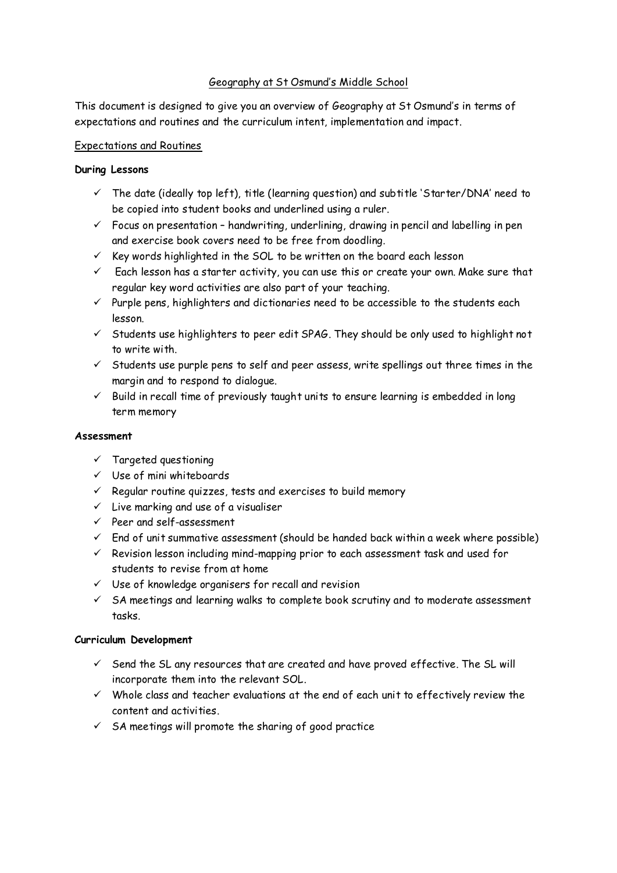# Geography at St Osmund's Middle School

This document is designed to give you an overview of Geography at St Osmund's in terms of expectations and routines and the curriculum intent, implementation and impact.

# Expectations and Routines

# **During Lessons**

- $\checkmark$  The date (ideally top left), title (learning question) and subtitle 'Starter/DNA' need to be copied into student books and underlined using a ruler.
- $\checkmark$  Focus on presentation handwriting, underlining, drawing in pencil and labelling in pen and exercise book covers need to be free from doodling.
- $\checkmark$  Key words highlighted in the SOL to be written on the board each lesson
- $\checkmark$  Each lesson has a starter activity, you can use this or create your own. Make sure that regular key word activities are also part of your teaching.
- $\checkmark$  Purple pens, highlighters and dictionaries need to be accessible to the students each lesson.
- $\checkmark$  Students use highlighters to peer edit SPAG. They should be only used to highlight not to write with.
- $\checkmark$  Students use purple pens to self and peer assess, write spellings out three times in the margin and to respond to dialogue.
- $\checkmark$  Build in recall time of previously taught units to ensure learning is embedded in long term memory

# **Assessment**

- $\checkmark$  Targeted questioning
- $V$  Use of mini whiteboards
- $\checkmark$  Regular routine quizzes, tests and exercises to build memory
- $\checkmark$  Live marking and use of a visualiser
- $\checkmark$  Peer and self-assessment
- $\checkmark$  End of unit summative assessment (should be handed back within a week where possible)
- $\checkmark$  Revision lesson including mind-mapping prior to each assessment task and used for students to revise from at home
- $\checkmark$  Use of knowledge organisers for recall and revision
- $\checkmark$  SA meetings and learning walks to complete book scrutiny and to moderate assessment tasks.

# **Curriculum Development**

- $\checkmark$  Send the SL any resources that are created and have proved effective. The SL will incorporate them into the relevant SOL.
- $\checkmark$  Whole class and teacher evaluations at the end of each unit to effectively review the content and activities.
- $\checkmark$  SA meetings will promote the sharing of good practice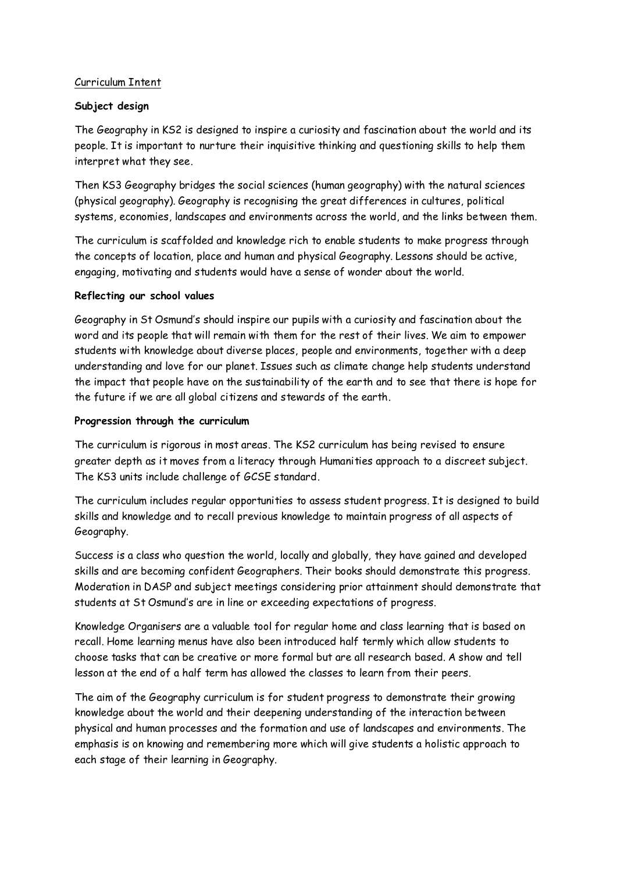# Curriculum Intent

### **Subject design**

The Geography in KS2 is designed to inspire a curiosity and fascination about the world and its people. It is important to nurture their inquisitive thinking and questioning skills to help them interpret what they see.

Then KS3 Geography bridges the social sciences (human geography) with the natural sciences (physical geography). Geography is recognising the great differences in cultures, political systems, economies, landscapes and environments across the world, and the links between them.

The curriculum is scaffolded and knowledge rich to enable students to make progress through the concepts of location, place and human and physical Geography. Lessons should be active, engaging, motivating and students would have a sense of wonder about the world.

#### **Reflecting our school values**

Geography in St Osmund's should inspire our pupils with a curiosity and fascination about the word and its people that will remain with them for the rest of their lives. We aim to empower students with knowledge about diverse places, people and environments, together with a deep understanding and love for our planet. Issues such as climate change help students understand the impact that people have on the sustainability of the earth and to see that there is hope for the future if we are all global citizens and stewards of the earth.

### **Progression through the curriculum**

The curriculum is rigorous in most areas. The KS2 curriculum has being revised to ensure greater depth as it moves from a literacy through Humanities approach to a discreet subject. The KS3 units include challenge of GCSE standard.

The curriculum includes regular opportunities to assess student progress. It is designed to build skills and knowledge and to recall previous knowledge to maintain progress of all aspects of Geography.

Success is a class who question the world, locally and globally, they have gained and developed skills and are becoming confident Geographers. Their books should demonstrate this progress. Moderation in DASP and subject meetings considering prior attainment should demonstrate that students at St Osmund's are in line or exceeding expectations of progress.

Knowledge Organisers are a valuable tool for regular home and class learning that is based on recall. Home learning menus have also been introduced half termly which allow students to choose tasks that can be creative or more formal but are all research based. A show and tell lesson at the end of a half term has allowed the classes to learn from their peers.

The aim of the Geography curriculum is for student progress to demonstrate their growing knowledge about the world and their deepening understanding of the interaction between physical and human processes and the formation and use of landscapes and environments. The emphasis is on knowing and remembering more which will give students a holistic approach to each stage of their learning in Geography.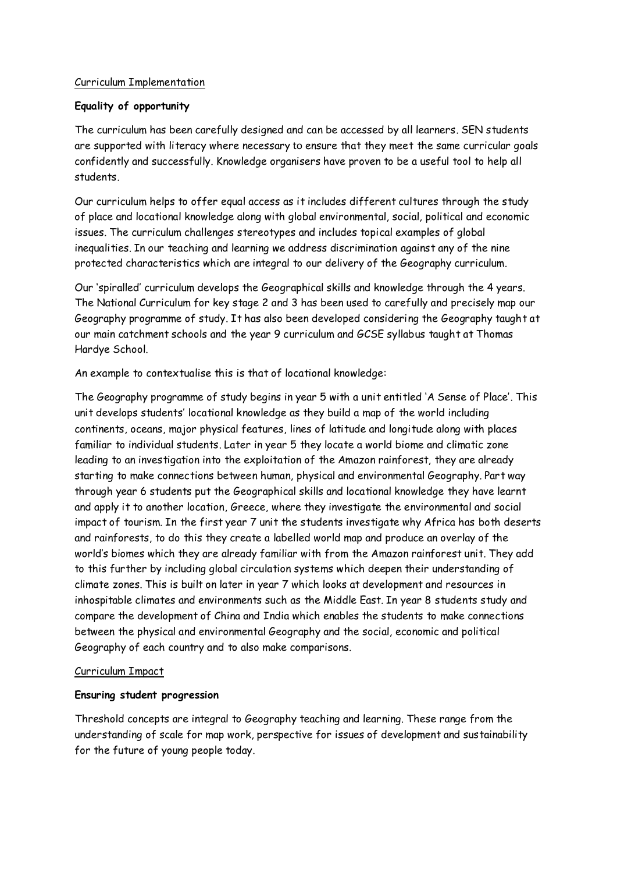# Curriculum Implementation

# **Equality of opportunity**

The curriculum has been carefully designed and can be accessed by all learners. SEN students are supported with literacy where necessary to ensure that they meet the same curricular goals confidently and successfully. Knowledge organisers have proven to be a useful tool to help all students.

Our curriculum helps to offer equal access as it includes different cultures through the study of place and locational knowledge along with global environmental, social, political and economic issues. The curriculum challenges stereotypes and includes topical examples of global inequalities. In our teaching and learning we address discrimination against any of the nine protected characteristics which are integral to our delivery of the Geography curriculum.

Our 'spiralled' curriculum develops the Geographical skills and knowledge through the 4 years. The National Curriculum for key stage 2 and 3 has been used to carefully and precisely map our Geography programme of study. It has also been developed considering the Geography taught at our main catchment schools and the year 9 curriculum and GCSE syllabus taught at Thomas Hardye School.

An example to contextualise this is that of locational knowledge:

The Geography programme of study begins in year 5 with a unit entitled 'A Sense of Place'. This unit develops students' locational knowledge as they build a map of the world including continents, oceans, major physical features, lines of latitude and longitude along with places familiar to individual students. Later in year 5 they locate a world biome and climatic zone leading to an investigation into the exploitation of the Amazon rainforest, they are already starting to make connections between human, physical and environmental Geography. Part way through year 6 students put the Geographical skills and locational knowledge they have learnt and apply it to another location, Greece, where they investigate the environmental and social impact of tourism. In the first year 7 unit the students investigate why Africa has both deserts and rainforests, to do this they create a labelled world map and produce an overlay of the world's biomes which they are already familiar with from the Amazon rainforest unit. They add to this further by including global circulation systems which deepen their understanding of climate zones. This is built on later in year 7 which looks at development and resources in inhospitable climates and environments such as the Middle East. In year 8 students study and compare the development of China and India which enables the students to make connections between the physical and environmental Geography and the social, economic and political Geography of each country and to also make comparisons.

# Curriculum Impact

# **Ensuring student progression**

Threshold concepts are integral to Geography teaching and learning. These range from the understanding of scale for map work, perspective for issues of development and sustainability for the future of young people today.